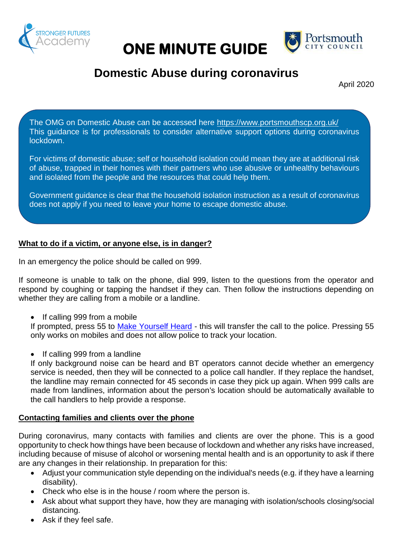

# **ONE MINUTE GUIDE**



## **Domestic Abuse during coronavirus**

April 2020

The OMG on Domestic Abuse can be accessed here <https://www.portsmouthscp.org.uk/> This guidance is for professionals to consider alternative support options during coronavirus lockdown.

For victims of domestic abuse; self or household isolation could mean they are at additional risk of abuse, trapped in their homes with their partners who use abusive or unhealthy behaviours and isolated from the people and the resources that could help them.

Government guidance is clear that the household isolation instruction as a result of coronavirus does not apply if you need to leave your home to escape domestic abuse.

#### **What to do if a victim, or anyone else, is in danger?**

In an emergency the police should be called on 999.

If someone is unable to talk on the phone, dial 999, listen to the questions from the operator and respond by coughing or tapping the handset if they can. Then follow the instructions depending on whether they are calling from a mobile or a landline.

If calling 999 from a mobile

If prompted, press 55 to [Make Yourself Heard](https://www.policeconduct.gov.uk/sites/default/files/Documents/research-learning/Silent_solution_guide.pdf) - this will transfer the call to the police. Pressing 55 only works on mobiles and does not allow police to track your location.

If calling 999 from a landline

If only background noise can be heard and BT operators cannot decide whether an emergency service is needed, then they will be connected to a police call handler. If they replace the handset, the landline may remain connected for 45 seconds in case they pick up again. When 999 calls are made from landlines, information about the person's location should be automatically available to the call handlers to help provide a response.

#### **Contacting families and clients over the phone**

During coronavirus, many contacts with families and clients are over the phone. This is a good opportunity to check how things have been because of lockdown and whether any risks have increased, including because of misuse of alcohol or worsening mental health and is an opportunity to ask if there are any changes in their relationship. In preparation for this:

- Adjust your communication style depending on the individual's needs (e.g. if they have a learning disability).
- Check who else is in the house / room where the person is.
- Ask about what support they have, how they are managing with isolation/schools closing/social distancing.
- Ask if they feel safe.